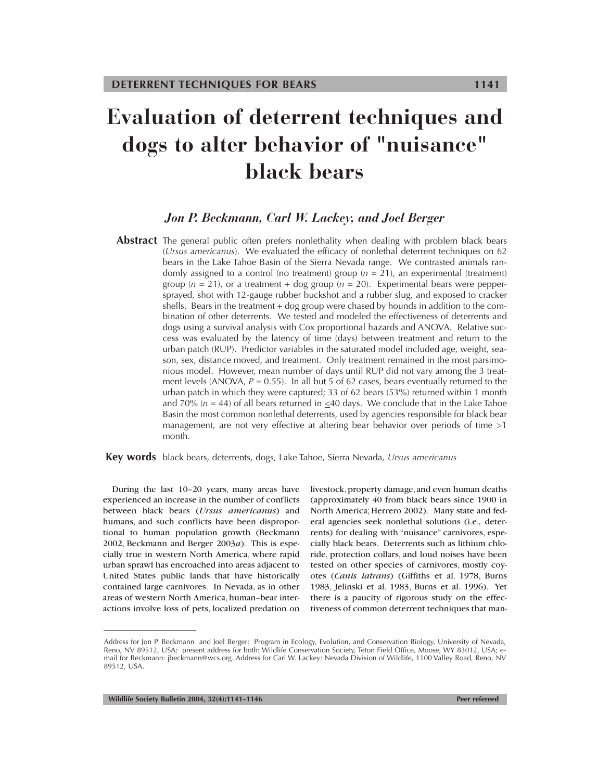# **Evaluation of deterrent techniques and dogs to alter behavior of "nuisance" black bears**

# *Jon P. Beckmann, Carl W. Lackey, and Joel Berger*

**Abstract** The general public often prefers nonlethality when dealing with problem black bears (*Ursus americanus*). We evaluated the efficacy of nonlethal deterrent techniques on 62 bears in the Lake Tahoe Basin of the Sierra Nevada range. We contrasted animals randomly assigned to a control (no treatment) group  $(n = 21)$ , an experimental (treatment) group ( $n = 21$ ), or a treatment + dog group ( $n = 20$ ). Experimental bears were peppersprayed, shot with 12-gauge rubber buckshot and a rubber slug, and exposed to cracker shells. Bears in the treatment + dog group were chased by hounds in addition to the combination of other deterrents. We tested and modeled the effectiveness of deterrents and dogs using a survival analysis with Cox proportional hazards and ANOVA*.* Relative success was evaluated by the latency of time (days) between treatment and return to the urban patch (RUP). Predictor variables in the saturated model included age, weight, season, sex, distance moved, and treatment. Only treatment remained in the most parsimonious model. However, mean number of days until RUP did not vary among the 3 treatment levels (ANOVA,  $P = 0.55$ ). In all but 5 of 62 cases, bears eventually returned to the urban patch in which they were captured; 33 of 62 bears (53%) returned within 1 month and 70% ( $n = 44$ ) of all bears returned in  $\leq 40$  days. We conclude that in the Lake Tahoe Basin the most common nonlethal deterrents, used by agencies responsible for black bear management, are not very effective at altering bear behavior over periods of time >1 month.

**Key words** black bears, deterrents, dogs, Lake Tahoe, Sierra Nevada, *Ursus americanus*

During the last 10–20 years, many areas have experienced an increase in the number of conflicts between black bears (*Ursus americanus*) and humans, and such conflicts have been disproportional to human population growth (Beckmann 2002, Beckmann and Berger 2003*a*). This is especially true in western North America, where rapid urban sprawl has encroached into areas adjacent to United States public lands that have historically contained large carnivores. In Nevada, as in other areas of western North America, human–bear interactions involve loss of pets, localized predation on livestock, property damage, and even human deaths (approximately 40 from black bears since 1900 in North America; Herrero 2002). Many state and federal agencies seek nonlethal solutions (i.e.*,* deterrents) for dealing with "nuisance" carnivores, especially black bears. Deterrents such as lithium chloride, protection collars, and loud noises have been tested on other species of carnivores, mostly coyotes (*Canis latrans*) (Giffiths et al. 1978, Burns 1983, Jelinski et al. 1983, Burns et al. 1996). Yet there is a paucity of rigorous study on the effectiveness of common deterrent techniques that man-

Address for Jon P. Beckmann and Joel Berger: Program in Ecology, Evolution, and Conservation Biology, University of Nevada, Reno, NV 89512, USA; present address for both: Wildlife Conservation Society, Teton Field Office, Moose, WY 83012, USA; email for Beckmann: jbeckmann@wcs.org. Address for Carl W. Lackey: Nevada Division of Wildlife, 1100 Valley Road, Reno, NV 89512, USA.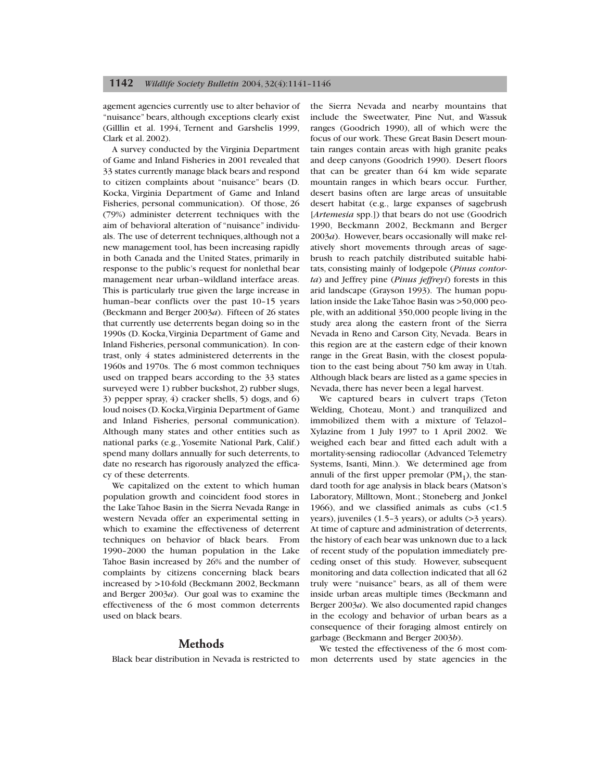agement agencies currently use to alter behavior of "nuisance" bears, although exceptions clearly exist (Gilllin et al. 1994, Ternent and Garshelis 1999, Clark et al. 2002).

A survey conducted by the Virginia Department of Game and Inland Fisheries in 2001 revealed that 33 states currently manage black bears and respond to citizen complaints about "nuisance" bears (D. Kocka, Virginia Department of Game and Inland Fisheries, personal communication). Of those, 26 (79%) administer deterrent techniques with the aim of behavioral alteration of "nuisance" individuals. The use of deterrent techniques, although not a new management tool, has been increasing rapidly in both Canada and the United States, primarily in response to the public's request for nonlethal bear management near urban–wildland interface areas. This is particularly true given the large increase in human-bear conflicts over the past 10-15 years (Beckmann and Berger 2003*a*). Fifteen of 26 states that currently use deterrents began doing so in the 1990s (D. Kocka,Virginia Department of Game and Inland Fisheries, personal communication). In contrast, only 4 states administered deterrents in the 1960s and 1970s. The 6 most common techniques used on trapped bears according to the 33 states surveyed were 1) rubber buckshot, 2) rubber slugs, 3) pepper spray, 4) cracker shells, 5) dogs, and 6) loud noises (D.Kocka,Virginia Department of Game and Inland Fisheries, personal communication). Although many states and other entities such as national parks (e.g.,Yosemite National Park, Calif.) spend many dollars annually for such deterrents, to date no research has rigorously analyzed the efficacy of these deterrents.

We capitalized on the extent to which human population growth and coincident food stores in the Lake Tahoe Basin in the Sierra Nevada Range in western Nevada offer an experimental setting in which to examine the effectiveness of deterrent techniques on behavior of black bears. From 1990–2000 the human population in the Lake Tahoe Basin increased by 26% and the number of complaints by citizens concerning black bears increased by >10-fold (Beckmann 2002, Beckmann and Berger 2003*a*). Our goal was to examine the effectiveness of the 6 most common deterrents used on black bears.

## **Methods**

Black bear distribution in Nevada is restricted to

the Sierra Nevada and nearby mountains that include the Sweetwater, Pine Nut, and Wassuk ranges (Goodrich 1990), all of which were the focus of our work. These Great Basin Desert mountain ranges contain areas with high granite peaks and deep canyons (Goodrich 1990). Desert floors that can be greater than 64 km wide separate mountain ranges in which bears occur. Further, desert basins often are large areas of unsuitable desert habitat (e.g., large expanses of sagebrush [*Artemesia* spp.]) that bears do not use (Goodrich 1990, Beckmann 2002, Beckmann and Berger 2003*a*). However, bears occasionally will make relatively short movements through areas of sagebrush to reach patchily distributed suitable habitats, consisting mainly of lodgepole (*Pinus contorta*) and Jeffrey pine (*Pinus jeffreyi*) forests in this arid landscape (Grayson 1993). The human population inside the Lake Tahoe Basin was >50,000 people, with an additional 350,000 people living in the study area along the eastern front of the Sierra Nevada in Reno and Carson City, Nevada. Bears in this region are at the eastern edge of their known range in the Great Basin, with the closest population to the east being about 750 km away in Utah. Although black bears are listed as a game species in Nevada, there has never been a legal harvest.

We captured bears in culvert traps (Teton Welding, Choteau, Mont.) and tranquilized and immobilized them with a mixture of Telazol– Xylazine from 1 July 1997 to 1 April 2002. We weighed each bear and fitted each adult with a mortality-sensing radiocollar (Advanced Telemetry Systems, Isanti, Minn.). We determined age from annuli of the first upper premolar  $(PM_1)$ , the standard tooth for age analysis in black bears (Matson's Laboratory, Milltown, Mont.; Stoneberg and Jonkel 1966), and we classified animals as cubs (<1.5 years), juveniles (1.5–3 years), or adults (>3 years). At time of capture and administration of deterrents, the history of each bear was unknown due to a lack of recent study of the population immediately preceding onset of this study. However, subsequent monitoring and data collection indicated that all 62 truly were "nuisance" bears, as all of them were inside urban areas multiple times (Beckmann and Berger 2003*a*). We also documented rapid changes in the ecology and behavior of urban bears as a consequence of their foraging almost entirely on garbage (Beckmann and Berger 2003*b*).

We tested the effectiveness of the 6 most common deterrents used by state agencies in the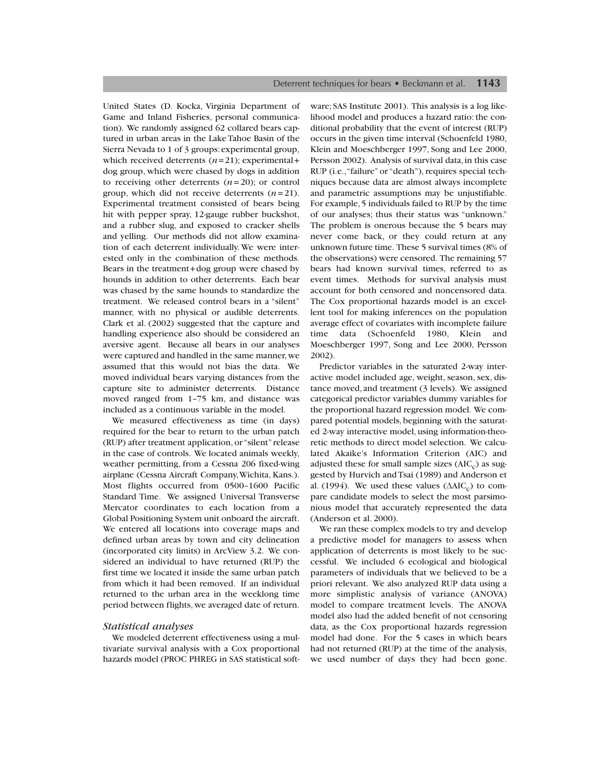United States (D. Kocka, Virginia Department of Game and Inland Fisheries, personal communication). We randomly assigned 62 collared bears captured in urban areas in the Lake Tahoe Basin of the Sierra Nevada to 1 of 3 groups: experimental group, which received deterrents (*n*=21); experimental+ dog group, which were chased by dogs in addition to receiving other deterrents  $(n=20)$ ; or control group, which did not receive deterrents (*n*= 21). Experimental treatment consisted of bears being hit with pepper spray, 12-gauge rubber buckshot, and a rubber slug, and exposed to cracker shells and yelling. Our methods did not allow examination of each deterrent individually. We were interested only in the combination of these methods. Bears in the treatment+dog group were chased by hounds in addition to other deterrents. Each bear was chased by the same hounds to standardize the treatment. We released control bears in a "silent" manner, with no physical or audible deterrents. Clark et al. (2002) suggested that the capture and handling experience also should be considered an aversive agent. Because all bears in our analyses were captured and handled in the same manner, we assumed that this would not bias the data. We moved individual bears varying distances from the capture site to administer deterrents. Distance moved ranged from 1–75 km, and distance was included as a continuous variable in the model.

We measured effectiveness as time (in days) required for the bear to return to the urban patch (RUP) after treatment application, or "silent"release in the case of controls. We located animals weekly, weather permitting, from a Cessna 206 fixed-wing airplane (Cessna Aircraft Company,Wichita, Kans.). Most flights occurred from 0500–1600 Pacific Standard Time. We assigned Universal Transverse Mercator coordinates to each location from a Global Positioning System unit onboard the aircraft. We entered all locations into coverage maps and defined urban areas by town and city delineation (incorporated city limits) in ArcView 3.2. We considered an individual to have returned (RUP) the first time we located it inside the same urban patch from which it had been removed. If an individual returned to the urban area in the weeklong time period between flights, we averaged date of return.

#### *Statistical analyses*

We modeled deterrent effectiveness using a multivariate survival analysis with a Cox proportional hazards model (PROC PHREG in SAS statistical software; SAS Institute 2001). This analysis is a log likelihood model and produces a hazard ratio: the conditional probability that the event of interest (RUP) occurs in the given time interval (Schoenfeld 1980, Klein and Moeschberger 1997, Song and Lee 2000, Persson 2002). Analysis of survival data, in this case RUP (i.e.,"failure" or "death"), requires special techniques because data are almost always incomplete and parametric assumptions may be unjustifiable. For example, 5 individuals failed to RUP by the time of our analyses; thus their status was "unknown." The problem is onerous because the 5 bears may never come back, or they could return at any unknown future time. These 5 survival times (8% of the observations) were censored. The remaining 57 bears had known survival times, referred to as event times. Methods for survival analysis must account for both censored and noncensored data. The Cox proportional hazards model is an excellent tool for making inferences on the population average effect of covariates with incomplete failure time data (Schoenfeld 1980, Klein and Moeschberger 1997, Song and Lee 2000, Persson 2002).

Predictor variables in the saturated 2-way interactive model included age, weight, season, sex, distance moved, and treatment (3 levels). We assigned categorical predictor variables dummy variables for the proportional hazard regression model. We compared potential models, beginning with the saturated 2-way interactive model, using information-theoretic methods to direct model selection. We calculated Akaike's Information Criterion (AIC) and adjusted these for small sample sizes  $(AIC<sub>c</sub>)$  as suggested by Hurvich and Tsai (1989) and Anderson et al. (1994). We used these values ( $\triangle AIC_c$ ) to compare candidate models to select the most parsimonious model that accurately represented the data (Anderson et al. 2000).

We ran these complex models to try and develop a predictive model for managers to assess when application of deterrents is most likely to be successful. We included 6 ecological and biological parameters of individuals that we believed to be a priori relevant. We also analyzed RUP data using a more simplistic analysis of variance (ANOVA) model to compare treatment levels. The ANOVA model also had the added benefit of not censoring data, as the Cox proportional hazards regression model had done. For the 5 cases in which bears had not returned (RUP) at the time of the analysis, we used number of days they had been gone.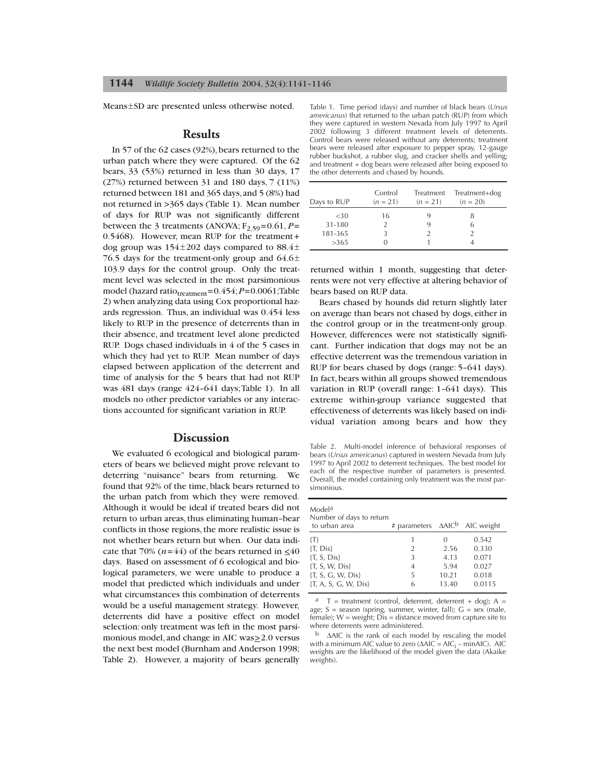Means±SD are presented unless otherwise noted.

#### **Results**

In 57 of the 62 cases (92%), bears returned to the urban patch where they were captured. Of the 62 bears, 33 (53%) returned in less than 30 days, 17 (27%) returned between 31 and 180 days, 7 (11%) returned between 181 and 365 days,and 5 (8%) had not returned in >365 days (Table 1). Mean number of days for RUP was not significantly different between the 3 treatments (ANOVA;  $F_{2,59}$ =0.61, *P*= 0.5468). However, mean RUP for the treatment+ dog group was  $154\pm202$  days compared to  $88.4\pm$ 76.5 days for the treatment-only group and  $64.6\pm$ 103.9 days for the control group. Only the treatment level was selected in the most parsimonious model (hazard ratio $t_{\text{treatment}}$ =0.454;*P*=0.0061;Table 2) when analyzing data using Cox proportional hazards regression. Thus, an individual was 0.454 less likely to RUP in the presence of deterrents than in their absence, and treatment level alone predicted RUP. Dogs chased individuals in 4 of the 5 cases in which they had yet to RUP. Mean number of days elapsed between application of the deterrent and time of analysis for the 5 bears that had not RUP was 481 days (range 424–641 days;Table 1). In all models no other predictor variables or any interactions accounted for significant variation in RUP.

# **Discussion**

We evaluated 6 ecological and biological parameters of bears we believed might prove relevant to deterring "nuisance" bears from returning. We found that 92% of the time, black bears returned to the urban patch from which they were removed. Although it would be ideal if treated bears did not return to urban areas, thus eliminating human–bear conflicts in those regions,the more realistic issue is not whether bears return but when. Our data indicate that 70%  $(n=44)$  of the bears returned in  $\lt 40$ days. Based on assessment of 6 ecological and biological parameters, we were unable to produce a model that predicted which individuals and under what circumstances this combination of deterrents would be a useful management strategy. However, deterrents did have a positive effect on model selection: only treatment was left in the most parsimonious model, and change in AIC was>2.0 versus the next best model (Burnham and Anderson 1998; Table 2). However, a majority of bears generally Table 1. Time period (days) and number of black bears (*Ursus americanus*) that returned to the urban patch (RUP) from which they were captured in western Nevada from July 1997 to April 2002 following 3 different treatment levels of deterrents. Control bears were released without any deterrents; treatment bears were released after exposure to pepper spray, 12-gauge rubber buckshot, a rubber slug, and cracker shells and yelling; and treatment + dog bears were released after being exposed to the other deterrents and chased by hounds.

| Days to RUP | Control<br>$(n = 21)$ | Treatment<br>$(n = 21)$ | Treatment+dog<br>$(n = 20)$ |
|-------------|-----------------------|-------------------------|-----------------------------|
| <30         | 16                    |                         |                             |
| 31-180      |                       |                         | 6                           |
| 181-365     |                       |                         |                             |
| >365        |                       |                         |                             |

returned within 1 month, suggesting that deterrents were not very effective at altering behavior of bears based on RUP data.

Bears chased by hounds did return slightly later on average than bears not chased by dogs, either in the control group or in the treatment-only group. However, differences were not statistically significant. Further indication that dogs may not be an effective deterrent was the tremendous variation in RUP for bears chased by dogs (range: 5–641 days). In fact, bears within all groups showed tremendous variation in RUP (overall range: 1–641 days). This extreme within-group variance suggested that effectiveness of deterrents was likely based on individual variation among bears and how they

Table 2. Multi-model inference of behavioral responses of bears (*Ursus americanus*) captured in western Nevada from July 1997 to April 2002 to deterrent techniques. The best model for each of the respective number of parameters is presented. Overall, the model containing only treatment was the most parsimonious.

| Model <sup>a</sup><br>Number of days to return<br>to urban area | # parameters $\triangle AIC^b$ AIC weight |          |        |
|-----------------------------------------------------------------|-------------------------------------------|----------|--------|
| $\{T\}$                                                         | 1                                         | $\Omega$ | 0.542  |
| {T, Dis}                                                        | 2                                         | 2.56     | 0.330  |
| $\{T, S, Dis\}$                                                 | 3                                         | 4.13     | 0.071  |
| ${T, S, W, Dis}$                                                | 4                                         | 5.94     | 0.027  |
| {T, S, G, W, Dis}                                               | 5                                         | 10.21    | 0.018  |
| {T, A, S, G, W, Dis}                                            | 6                                         | 13.40    | 0.0115 |

 $a$  T = treatment (control, deterrent, deterrent + dog); A = age;  $S =$  season (spring, summer, winter, fall);  $G =$  sex (male, female); W = weight; Dis = distance moved from capture site to where deterrents were administered.

<sup>b</sup> ∆AIC is the rank of each model by rescaling the model with a minimum AIC value to zero ( $\triangle AIC = AIC_i - \text{min}AIC$ ). AIC weights are the likelihood of the model given the data (Akaike weights).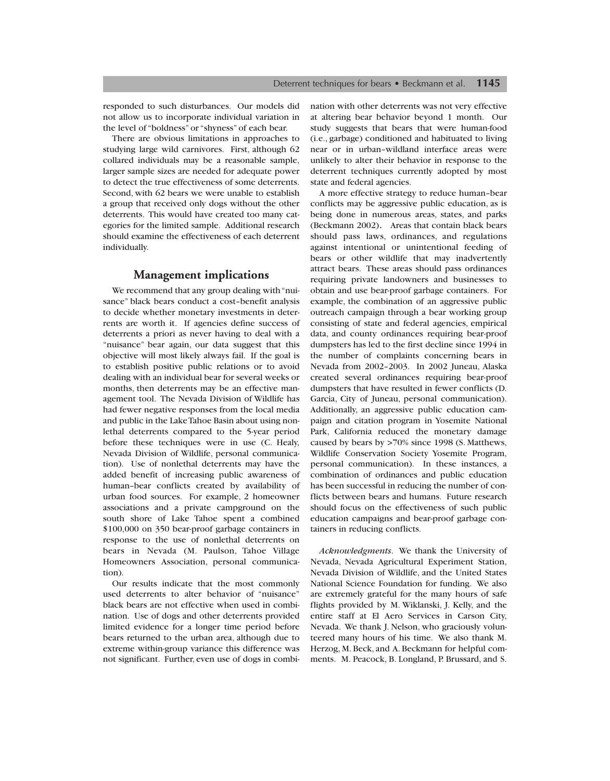responded to such disturbances. Our models did not allow us to incorporate individual variation in the level of "boldness" or "shyness" of each bear.

There are obvious limitations in approaches to studying large wild carnivores. First, although 62 collared individuals may be a reasonable sample, larger sample sizes are needed for adequate power to detect the true effectiveness of some deterrents. Second, with 62 bears we were unable to establish a group that received only dogs without the other deterrents. This would have created too many categories for the limited sample. Additional research should examine the effectiveness of each deterrent individually.

# **Management implications**

We recommend that any group dealing with "nuisance" black bears conduct a cost–benefit analysis to decide whether monetary investments in deterrents are worth it. If agencies define success of deterrents a priori as never having to deal with a "nuisance" bear again, our data suggest that this objective will most likely always fail. If the goal is to establish positive public relations or to avoid dealing with an individual bear for several weeks or months, then deterrents may be an effective management tool. The Nevada Division of Wildlife has had fewer negative responses from the local media and public in the Lake Tahoe Basin about using nonlethal deterrents compared to the 5-year period before these techniques were in use (C. Healy, Nevada Division of Wildlife, personal communication). Use of nonlethal deterrents may have the added benefit of increasing public awareness of human–bear conflicts created by availability of urban food sources. For example, 2 homeowner associations and a private campground on the south shore of Lake Tahoe spent a combined \$100,000 on 350 bear-proof garbage containers in response to the use of nonlethal deterrents on bears in Nevada (M. Paulson, Tahoe Village Homeowners Association, personal communication).

Our results indicate that the most commonly used deterrents to alter behavior of "nuisance" black bears are not effective when used in combination. Use of dogs and other deterrents provided limited evidence for a longer time period before bears returned to the urban area, although due to extreme within-group variance this difference was not significant. Further, even use of dogs in combination with other deterrents was not very effective at altering bear behavior beyond 1 month. Our study suggests that bears that were human-food (i.e., garbage) conditioned and habituated to living near or in urban–wildland interface areas were unlikely to alter their behavior in response to the deterrent techniques currently adopted by most state and federal agencies.

A more effective strategy to reduce human–bear conflicts may be aggressive public education, as is being done in numerous areas, states, and parks (Beckmann 2002). Areas that contain black bears should pass laws, ordinances, and regulations against intentional or unintentional feeding of bears or other wildlife that may inadvertently attract bears. These areas should pass ordinances requiring private landowners and businesses to obtain and use bear-proof garbage containers. For example, the combination of an aggressive public outreach campaign through a bear working group consisting of state and federal agencies, empirical data, and county ordinances requiring bear-proof dumpsters has led to the first decline since 1994 in the number of complaints concerning bears in Nevada from 2002–2003. In 2002 Juneau, Alaska created several ordinances requiring bear-proof dumpsters that have resulted in fewer conflicts (D. Garcia, City of Juneau, personal communication). Additionally, an aggressive public education campaign and citation program in Yosemite National Park, California reduced the monetary damage caused by bears by >70% since 1998 (S. Matthews, Wildlife Conservation Society Yosemite Program, personal communication). In these instances, a combination of ordinances and public education has been successful in reducing the number of conflicts between bears and humans. Future research should focus on the effectiveness of such public education campaigns and bear-proof garbage containers in reducing conflicts.

*Acknowledgments*. We thank the University of Nevada, Nevada Agricultural Experiment Station, Nevada Division of Wildlife, and the United States National Science Foundation for funding. We also are extremely grateful for the many hours of safe flights provided by M. Wiklanski, J. Kelly, and the entire staff at El Aero Services in Carson City, Nevada. We thank J. Nelson, who graciously volunteered many hours of his time. We also thank M. Herzog, M. Beck, and A. Beckmann for helpful comments. M. Peacock, B. Longland, P. Brussard, and S.